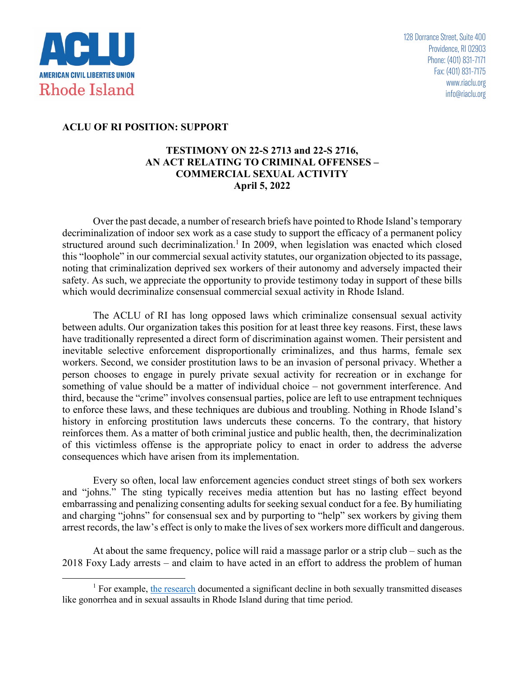

## **ACLU OF RI POSITION: SUPPORT**

## **TESTIMONY ON 22-S 2713 and 22-S 2716, AN ACT RELATING TO CRIMINAL OFFENSES – COMMERCIAL SEXUAL ACTIVITY April 5, 2022**

Over the past decade, a number of research briefs have pointed to Rhode Island's temporary decriminalization of indoor sex work as a case study to support the efficacy of a permanent policy structured around such decriminalization.<sup>1</sup> In 2009, when legislation was enacted which closed this "loophole" in our commercial sexual activity statutes, our organization objected to its passage, noting that criminalization deprived sex workers of their autonomy and adversely impacted their safety. As such, we appreciate the opportunity to provide testimony today in support of these bills which would decriminalize consensual commercial sexual activity in Rhode Island.

The ACLU of RI has long opposed laws which criminalize consensual sexual activity between adults. Our organization takes this position for at least three key reasons. First, these laws have traditionally represented a direct form of discrimination against women. Their persistent and inevitable selective enforcement disproportionally criminalizes, and thus harms, female sex workers. Second, we consider prostitution laws to be an invasion of personal privacy. Whether a person chooses to engage in purely private sexual activity for recreation or in exchange for something of value should be a matter of individual choice – not government interference. And third, because the "crime" involves consensual parties, police are left to use entrapment techniques to enforce these laws, and these techniques are dubious and troubling. Nothing in Rhode Island's history in enforcing prostitution laws undercuts these concerns. To the contrary, that history reinforces them. As a matter of both criminal justice and public health, then, the decriminalization of this victimless offense is the appropriate policy to enact in order to address the adverse consequences which have arisen from its implementation.

Every so often, local law enforcement agencies conduct street stings of both sex workers and "johns." The sting typically receives media attention but has no lasting effect beyond embarrassing and penalizing consenting adults for seeking sexual conduct for a fee. By humiliating and charging "johns" for consensual sex and by purporting to "help" sex workers by giving them arrest records, the law's effect is only to make the lives of sex workers more difficult and dangerous.

At about the same frequency, police will raid a massage parlor or a strip club – such as the 2018 Foxy Lady arrests – and claim to have acted in an effort to address the problem of human

 $1$  For example, the research documented a significant decline in both sexually transmitted diseases like gonorrhea and in sexual assaults in Rhode Island during that time period.